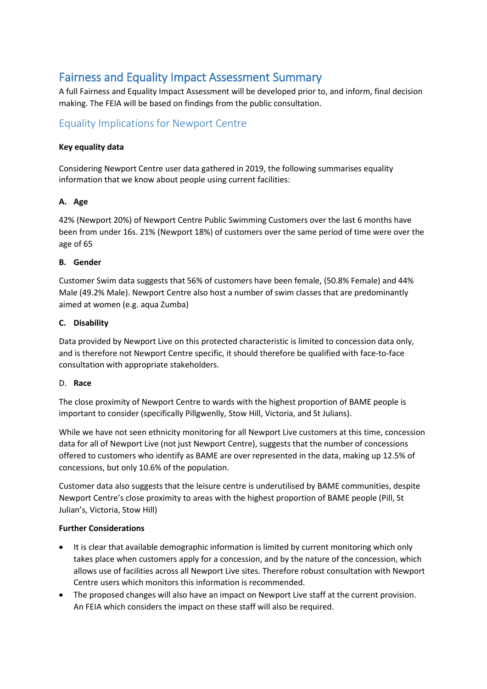# Fairness and Equality Impact Assessment Summary

A full Fairness and Equality Impact Assessment will be developed prior to, and inform, final decision making. The FEIA will be based on findings from the public consultation.

## Equality Implications for Newport Centre

#### **Key equality data**

Considering Newport Centre user data gathered in 2019, the following summarises equality information that we know about people using current facilities:

### **A. Age**

42% (Newport 20%) of Newport Centre Public Swimming Customers over the last 6 months have been from under 16s. 21% (Newport 18%) of customers over the same period of time were over the age of 65

#### **B. Gender**

Customer Swim data suggests that 56% of customers have been female, (50.8% Female) and 44% Male (49.2% Male). Newport Centre also host a number of swim classes that are predominantly aimed at women (e.g. aqua Zumba)

#### **C. Disability**

Data provided by Newport Live on this protected characteristic is limited to concession data only, and is therefore not Newport Centre specific, it should therefore be qualified with face-to-face consultation with appropriate stakeholders.

#### D. **Race**

The close proximity of Newport Centre to wards with the highest proportion of BAME people is important to consider (specifically Pillgwenlly, Stow Hill, Victoria, and St Julians).

While we have not seen ethnicity monitoring for all Newport Live customers at this time, concession data for all of Newport Live (not just Newport Centre), suggests that the number of concessions offered to customers who identify as BAME are over represented in the data, making up 12.5% of concessions, but only 10.6% of the population.

Customer data also suggests that the leisure centre is underutilised by BAME communities, despite Newport Centre's close proximity to areas with the highest proportion of BAME people (Pill, St Julian's, Victoria, Stow Hill)

### **Further Considerations**

- It is clear that available demographic information is limited by current monitoring which only takes place when customers apply for a concession, and by the nature of the concession, which allows use of facilities across all Newport Live sites. Therefore robust consultation with Newport Centre users which monitors this information is recommended.
- The proposed changes will also have an impact on Newport Live staff at the current provision. An FEIA which considers the impact on these staff will also be required.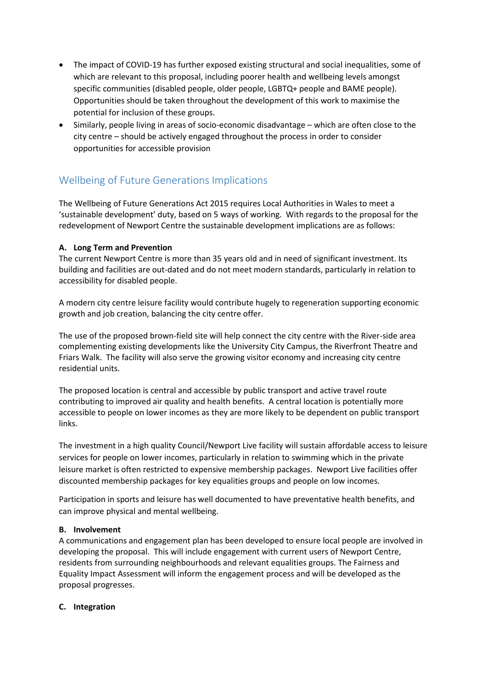- The impact of COVID-19 has further exposed existing structural and social inequalities, some of which are relevant to this proposal, including poorer health and wellbeing levels amongst specific communities (disabled people, older people, LGBTQ+ people and BAME people). Opportunities should be taken throughout the development of this work to maximise the potential for inclusion of these groups.
- Similarly, people living in areas of socio-economic disadvantage which are often close to the city centre – should be actively engaged throughout the process in order to consider opportunities for accessible provision

# Wellbeing of Future Generations Implications

The Wellbeing of Future Generations Act 2015 requires Local Authorities in Wales to meet a 'sustainable development' duty, based on 5 ways of working. With regards to the proposal for the redevelopment of Newport Centre the sustainable development implications are as follows:

### **A. Long Term and Prevention**

The current Newport Centre is more than 35 years old and in need of significant investment. Its building and facilities are out-dated and do not meet modern standards, particularly in relation to accessibility for disabled people.

A modern city centre leisure facility would contribute hugely to regeneration supporting economic growth and job creation, balancing the city centre offer.

The use of the proposed brown-field site will help connect the city centre with the River-side area complementing existing developments like the University City Campus, the Riverfront Theatre and Friars Walk. The facility will also serve the growing visitor economy and increasing city centre residential units.

The proposed location is central and accessible by public transport and active travel route contributing to improved air quality and health benefits. A central location is potentially more accessible to people on lower incomes as they are more likely to be dependent on public transport links.

The investment in a high quality Council/Newport Live facility will sustain affordable access to leisure services for people on lower incomes, particularly in relation to swimming which in the private leisure market is often restricted to expensive membership packages. Newport Live facilities offer discounted membership packages for key equalities groups and people on low incomes.

Participation in sports and leisure has well documented to have preventative health benefits, and can improve physical and mental wellbeing.

### **B. Involvement**

A communications and engagement plan has been developed to ensure local people are involved in developing the proposal. This will include engagement with current users of Newport Centre, residents from surrounding neighbourhoods and relevant equalities groups. The Fairness and Equality Impact Assessment will inform the engagement process and will be developed as the proposal progresses.

#### **C. Integration**